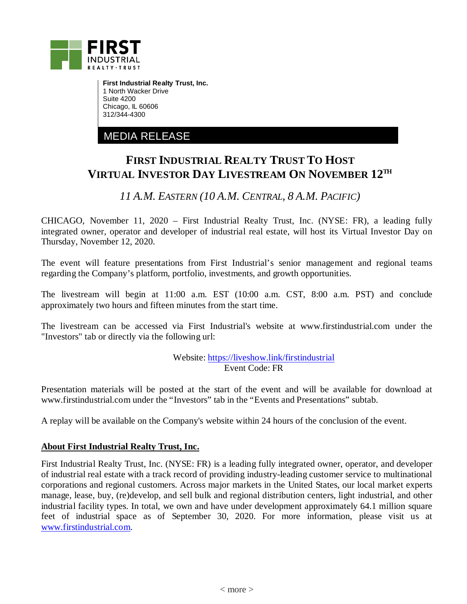

**First Industrial Realty Trust, Inc.** 1 North Wacker Drive Suite 4200 Chicago, IL 60606 312/344-4300

MEDIA RELEASE

## **FIRST INDUSTRIAL REALTY TRUST TO HOST VIRTUAL INVESTOR DAY LIVESTREAM ON NOVEMBER 12TH**

*11 A.M. EASTERN (10 A.M. CENTRAL, 8 A.M. PACIFIC)*

CHICAGO, November 11, 2020 – First Industrial Realty Trust, Inc. (NYSE: FR), a leading fully integrated owner, operator and developer of industrial real estate, will host its Virtual Investor Day on Thursday, November 12, 2020.

The event will feature presentations from First Industrial's senior management and regional teams regarding the Company's platform, portfolio, investments, and growth opportunities.

The livestream will begin at 11:00 a.m. EST (10:00 a.m. CST, 8:00 a.m. PST) and conclude approximately two hours and fifteen minutes from the start time.

The livestream can be accessed via First Industrial's website at www.firstindustrial.com under the "Investors" tab or directly via the following url:

> Website:<https://liveshow.link/firstindustrial> Event Code: FR

Presentation materials will be posted at the start of the event and will be available for download at www.firstindustrial.com under the "Investors" tab in the "Events and Presentations" subtab.

A replay will be available on the Company's website within 24 hours of the conclusion of the event.

## **About First Industrial Realty Trust, Inc.**

First Industrial Realty Trust, Inc. (NYSE: FR) is a leading fully integrated owner, operator, and developer of industrial real estate with a track record of providing industry-leading customer service to multinational corporations and regional customers. Across major markets in the United States, our local market experts manage, lease, buy, (re)develop, and sell bulk and regional distribution centers, light industrial, and other industrial facility types. In total, we own and have under development approximately 64.1 million square feet of industrial space as of September 30, 2020. For more information, please visit us at [www.firstindustrial.com.](http://www.firstindustrial.com/)